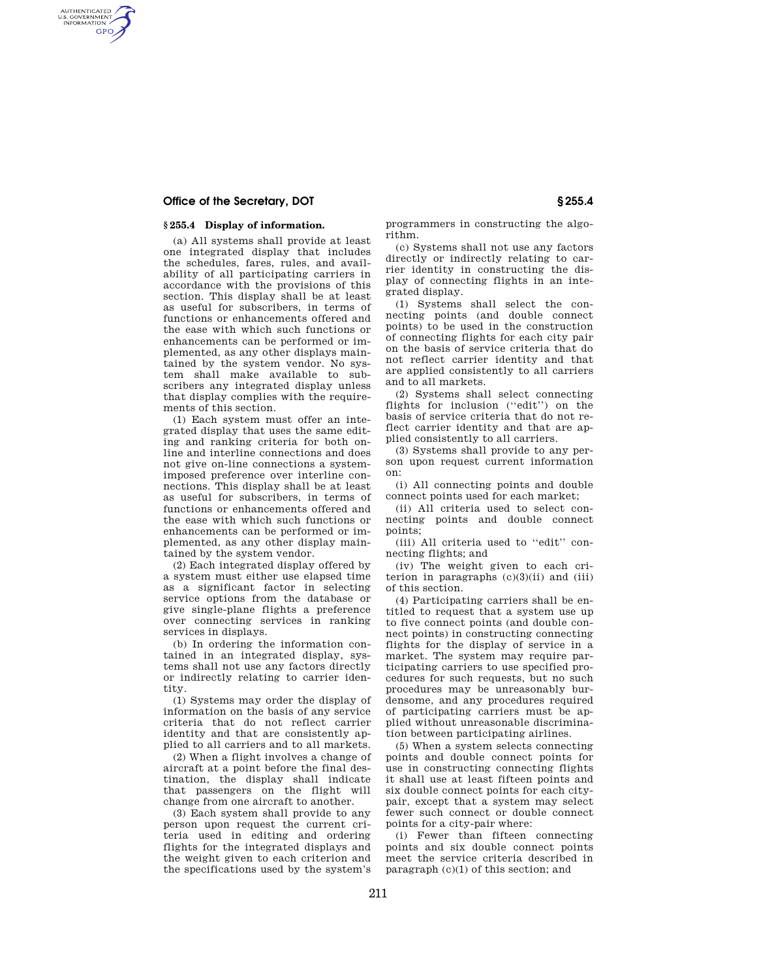# **Office of the Secretary, DOT S255.4 § 255.4**

AUTHENTICATED<br>U.S. GOVERNMENT<br>INFORMATION **GPO** 

# **§ 255.4 Display of information.**

(a) All systems shall provide at least one integrated display that includes the schedules, fares, rules, and availability of all participating carriers in accordance with the provisions of this section. This display shall be at least as useful for subscribers, in terms of functions or enhancements offered and the ease with which such functions or enhancements can be performed or implemented, as any other displays maintained by the system vendor. No system shall make available to subscribers any integrated display unless that display complies with the requirements of this section.

(1) Each system must offer an integrated display that uses the same editing and ranking criteria for both online and interline connections and does not give on-line connections a systemimposed preference over interline connections. This display shall be at least as useful for subscribers, in terms of functions or enhancements offered and the ease with which such functions or enhancements can be performed or implemented, as any other display maintained by the system vendor.

(2) Each integrated display offered by a system must either use elapsed time as a significant factor in selecting service options from the database or give single-plane flights a preference over connecting services in ranking services in displays.

(b) In ordering the information contained in an integrated display, systems shall not use any factors directly or indirectly relating to carrier identity.

(1) Systems may order the display of information on the basis of any service criteria that do not reflect carrier identity and that are consistently applied to all carriers and to all markets.

(2) When a flight involves a change of aircraft at a point before the final destination, the display shall indicate that passengers on the flight will change from one aircraft to another.

(3) Each system shall provide to any person upon request the current criteria used in editing and ordering flights for the integrated displays and the weight given to each criterion and the specifications used by the system's programmers in constructing the algorithm.

(c) Systems shall not use any factors directly or indirectly relating to carrier identity in constructing the display of connecting flights in an integrated display.

(1) Systems shall select the connecting points (and double connect points) to be used in the construction of connecting flights for each city pair on the basis of service criteria that do not reflect carrier identity and that are applied consistently to all carriers and to all markets.

(2) Systems shall select connecting flights for inclusion (''edit'') on the basis of service criteria that do not reflect carrier identity and that are applied consistently to all carriers.

(3) Systems shall provide to any person upon request current information on:

(i) All connecting points and double connect points used for each market;

(ii) All criteria used to select connecting points and double connect points;

(iii) All criteria used to ''edit'' connecting flights; and

(iv) The weight given to each criterion in paragraphs  $(c)(3)(ii)$  and  $(iii)$ of this section.

(4) Participating carriers shall be entitled to request that a system use up to five connect points (and double connect points) in constructing connecting flights for the display of service in a market. The system may require participating carriers to use specified procedures for such requests, but no such procedures may be unreasonably burdensome, and any procedures required of participating carriers must be applied without unreasonable discrimination between participating airlines.

(5) When a system selects connecting points and double connect points for use in constructing connecting flights it shall use at least fifteen points and six double connect points for each citypair, except that a system may select fewer such connect or double connect points for a city-pair where:

(i) Fewer than fifteen connecting points and six double connect points meet the service criteria described in paragraph (c)(1) of this section; and